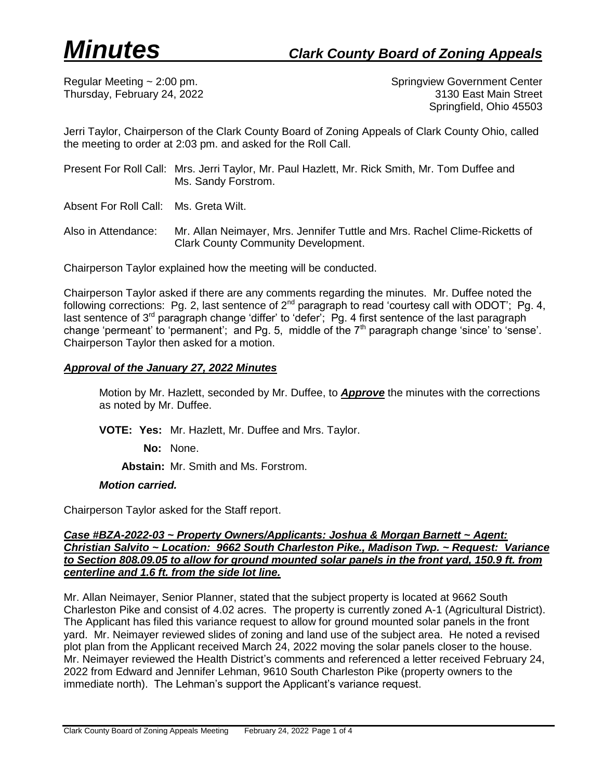Regular Meeting ~ 2:00 pm. Springview Government Center Thursday, February 24, 2022 3130 East Main Street Springfield, Ohio 45503

Jerri Taylor, Chairperson of the Clark County Board of Zoning Appeals of Clark County Ohio, called the meeting to order at 2:03 pm. and asked for the Roll Call.

- Present For Roll Call: Mrs. Jerri Taylor, Mr. Paul Hazlett, Mr. Rick Smith, Mr. Tom Duffee and Ms. Sandy Forstrom.
- Absent For Roll Call: Ms. Greta Wilt.
- Also in Attendance: Mr. Allan Neimayer, Mrs. Jennifer Tuttle and Mrs. Rachel Clime-Ricketts of Clark County Community Development.

Chairperson Taylor explained how the meeting will be conducted.

Chairperson Taylor asked if there are any comments regarding the minutes. Mr. Duffee noted the following corrections: Pg. 2, last sentence of  $2^{nd}$  paragraph to read 'courtesy call with ODOT'; Pg. 4, last sentence of  $3<sup>rd</sup>$  paragraph change 'differ' to 'defer'; Pg. 4 first sentence of the last paragraph change 'permeant' to 'permanent'; and Pg. 5, middle of the 7<sup>th</sup> paragraph change 'since' to 'sense'. Chairperson Taylor then asked for a motion.

# *Approval of the January 27, 2022 Minutes*

Motion by Mr. Hazlett, seconded by Mr. Duffee, to *Approve* the minutes with the corrections as noted by Mr. Duffee.

**VOTE: Yes:** Mr. Hazlett, Mr. Duffee and Mrs. Taylor.

**No:** None.

**Abstain:** Mr. Smith and Ms. Forstrom.

#### *Motion carried.*

Chairperson Taylor asked for the Staff report.

## *Case #BZA-2022-03 ~ Property Owners/Applicants: Joshua & Morgan Barnett ~ Agent: Christian Salvito ~ Location: 9662 South Charleston Pike., Madison Twp. ~ Request: Variance to Section 808.09.05 to allow for ground mounted solar panels in the front yard, 150.9 ft. from centerline and 1.6 ft. from the side lot line.*

Mr. Allan Neimayer, Senior Planner, stated that the subject property is located at 9662 South Charleston Pike and consist of 4.02 acres. The property is currently zoned A-1 (Agricultural District). The Applicant has filed this variance request to allow for ground mounted solar panels in the front yard. Mr. Neimayer reviewed slides of zoning and land use of the subject area. He noted a revised plot plan from the Applicant received March 24, 2022 moving the solar panels closer to the house. Mr. Neimayer reviewed the Health District's comments and referenced a letter received February 24, 2022 from Edward and Jennifer Lehman, 9610 South Charleston Pike (property owners to the immediate north). The Lehman's support the Applicant's variance request.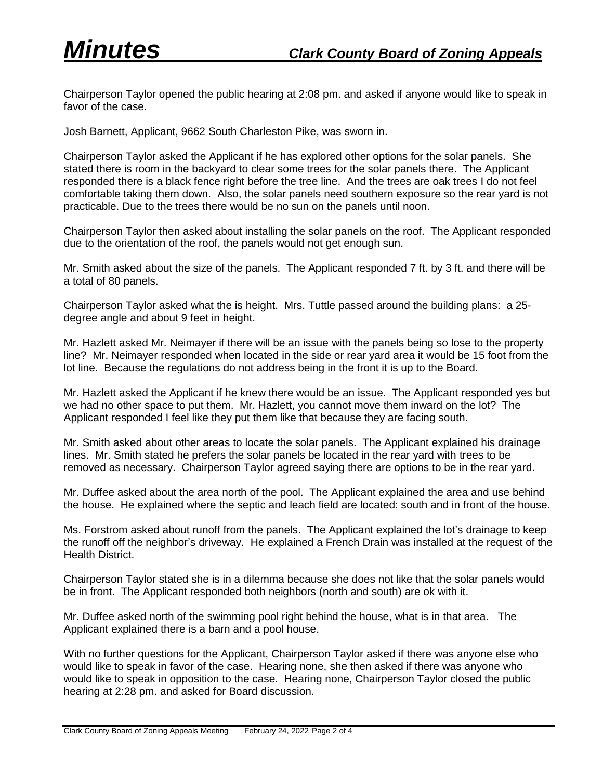Chairperson Taylor opened the public hearing at 2:08 pm. and asked if anyone would like to speak in favor of the case.

Josh Barnett, Applicant, 9662 South Charleston Pike, was sworn in.

Chairperson Taylor asked the Applicant if he has explored other options for the solar panels. She stated there is room in the backyard to clear some trees for the solar panels there. The Applicant responded there is a black fence right before the tree line. And the trees are oak trees I do not feel comfortable taking them down. Also, the solar panels need southern exposure so the rear yard is not practicable. Due to the trees there would be no sun on the panels until noon.

Chairperson Taylor then asked about installing the solar panels on the roof. The Applicant responded due to the orientation of the roof, the panels would not get enough sun.

Mr. Smith asked about the size of the panels. The Applicant responded 7 ft. by 3 ft. and there will be a total of 80 panels.

Chairperson Taylor asked what the is height. Mrs. Tuttle passed around the building plans: a 25 degree angle and about 9 feet in height.

Mr. Hazlett asked Mr. Neimayer if there will be an issue with the panels being so lose to the property line? Mr. Neimayer responded when located in the side or rear yard area it would be 15 foot from the lot line. Because the regulations do not address being in the front it is up to the Board.

Mr. Hazlett asked the Applicant if he knew there would be an issue. The Applicant responded yes but we had no other space to put them. Mr. Hazlett, you cannot move them inward on the lot? The Applicant responded I feel like they put them like that because they are facing south.

Mr. Smith asked about other areas to locate the solar panels. The Applicant explained his drainage lines. Mr. Smith stated he prefers the solar panels be located in the rear yard with trees to be removed as necessary. Chairperson Taylor agreed saying there are options to be in the rear yard.

Mr. Duffee asked about the area north of the pool. The Applicant explained the area and use behind the house. He explained where the septic and leach field are located: south and in front of the house.

Ms. Forstrom asked about runoff from the panels. The Applicant explained the lot's drainage to keep the runoff off the neighbor's driveway. He explained a French Drain was installed at the request of the Health District.

Chairperson Taylor stated she is in a dilemma because she does not like that the solar panels would be in front. The Applicant responded both neighbors (north and south) are ok with it.

Mr. Duffee asked north of the swimming pool right behind the house, what is in that area. The Applicant explained there is a barn and a pool house.

With no further questions for the Applicant, Chairperson Taylor asked if there was anyone else who would like to speak in favor of the case. Hearing none, she then asked if there was anyone who would like to speak in opposition to the case. Hearing none, Chairperson Taylor closed the public hearing at 2:28 pm. and asked for Board discussion.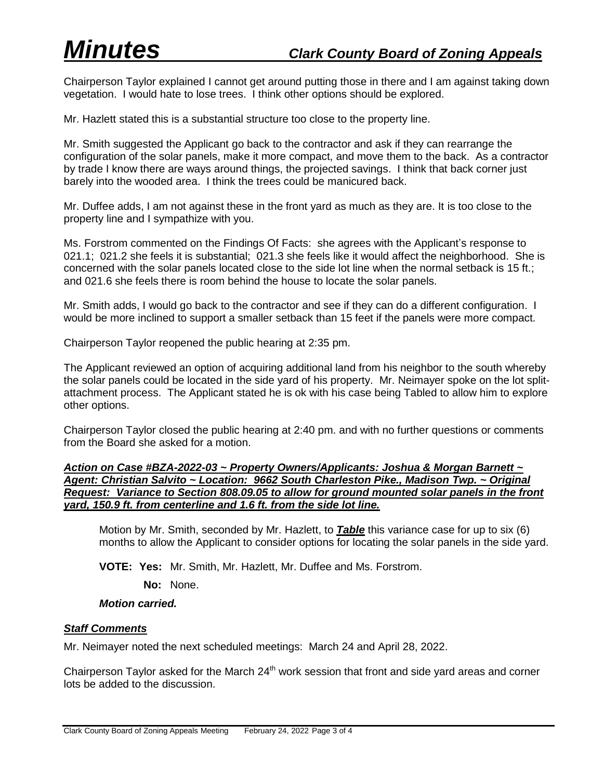Chairperson Taylor explained I cannot get around putting those in there and I am against taking down vegetation. I would hate to lose trees. I think other options should be explored.

Mr. Hazlett stated this is a substantial structure too close to the property line.

Mr. Smith suggested the Applicant go back to the contractor and ask if they can rearrange the configuration of the solar panels, make it more compact, and move them to the back. As a contractor by trade I know there are ways around things, the projected savings. I think that back corner just barely into the wooded area. I think the trees could be manicured back.

Mr. Duffee adds, I am not against these in the front yard as much as they are. It is too close to the property line and I sympathize with you.

Ms. Forstrom commented on the Findings Of Facts: she agrees with the Applicant's response to 021.1; 021.2 she feels it is substantial; 021.3 she feels like it would affect the neighborhood. She is concerned with the solar panels located close to the side lot line when the normal setback is 15 ft.; and 021.6 she feels there is room behind the house to locate the solar panels.

Mr. Smith adds, I would go back to the contractor and see if they can do a different configuration. I would be more inclined to support a smaller setback than 15 feet if the panels were more compact.

Chairperson Taylor reopened the public hearing at 2:35 pm.

The Applicant reviewed an option of acquiring additional land from his neighbor to the south whereby the solar panels could be located in the side yard of his property. Mr. Neimayer spoke on the lot splitattachment process. The Applicant stated he is ok with his case being Tabled to allow him to explore other options.

Chairperson Taylor closed the public hearing at 2:40 pm. and with no further questions or comments from the Board she asked for a motion.

### *Action on Case #BZA-2022-03 ~ Property Owners/Applicants: Joshua & Morgan Barnett ~ Agent: Christian Salvito ~ Location: 9662 South Charleston Pike., Madison Twp. ~ Original Request: Variance to Section 808.09.05 to allow for ground mounted solar panels in the front yard, 150.9 ft. from centerline and 1.6 ft. from the side lot line.*

Motion by Mr. Smith, seconded by Mr. Hazlett, to *Table* this variance case for up to six (6) months to allow the Applicant to consider options for locating the solar panels in the side yard.

**VOTE: Yes:** Mr. Smith, Mr. Hazlett, Mr. Duffee and Ms. Forstrom.

**No:** None.

#### *Motion carried.*

#### *Staff Comments*

Mr. Neimayer noted the next scheduled meetings: March 24 and April 28, 2022.

Chairperson Taylor asked for the March  $24<sup>th</sup>$  work session that front and side yard areas and corner lots be added to the discussion.